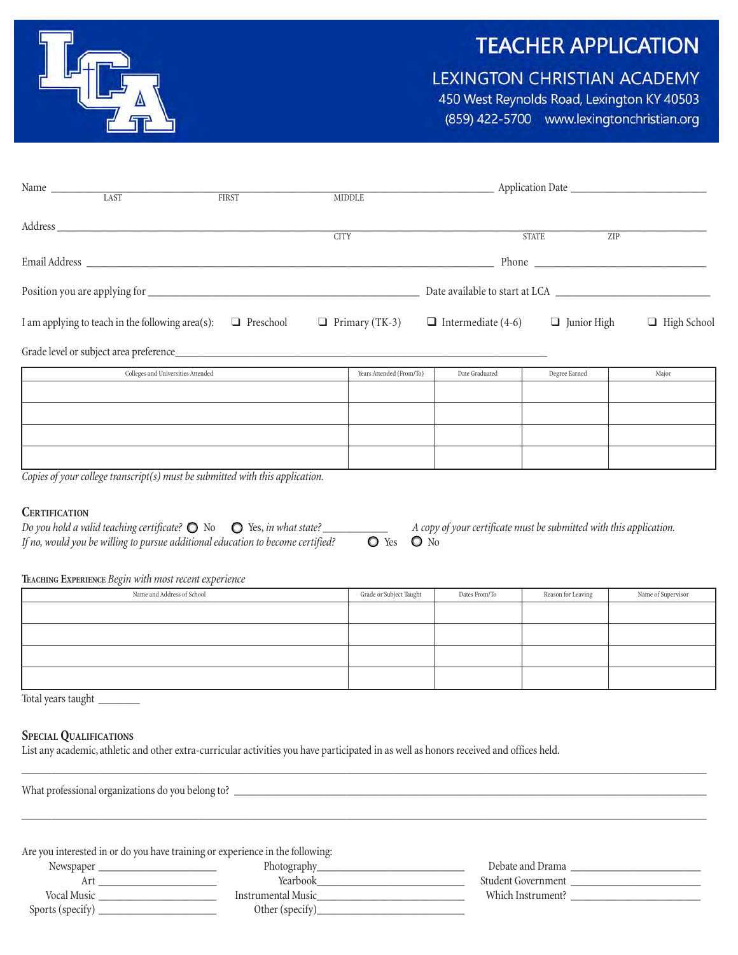



# LEXINGTON CHRISTIAN ACADEMY

450 West Reynolds Road, Lexington KY 40503 (859) 422-5700 www.lexingtonchristian.org

| Name LAST<br>$\begin{array}{c c}\n & \text{FIRST}\n\end{array}$   |                                    |                                                                                                                                                                                                                                | <b>MIDDLE</b> |                          |                                                                    |               |                    |
|-------------------------------------------------------------------|------------------------------------|--------------------------------------------------------------------------------------------------------------------------------------------------------------------------------------------------------------------------------|---------------|--------------------------|--------------------------------------------------------------------|---------------|--------------------|
|                                                                   |                                    | Address and the contract of the contract of the contract of the contract of the contract of the contract of the contract of the contract of the contract of the contract of the contract of the contract of the contract of th |               |                          |                                                                    |               |                    |
|                                                                   |                                    |                                                                                                                                                                                                                                | <b>CITY</b>   |                          |                                                                    | <b>STATE</b>  | ZIP                |
|                                                                   |                                    | Email Address Land and the Community of the Community of the Community of the Community of the Community of the Community of the Community of the Community of the Community of the Community of the Community of the Communit |               |                          |                                                                    |               |                    |
|                                                                   |                                    |                                                                                                                                                                                                                                |               |                          |                                                                    |               |                    |
| I am applying to teach in the following area(s): $\Box$ Preschool |                                    |                                                                                                                                                                                                                                |               |                          | $\Box$ Primary (TK-3) $\Box$ Intermediate (4-6) $\Box$ Junior High |               | $\Box$ High School |
|                                                                   |                                    |                                                                                                                                                                                                                                |               |                          |                                                                    |               |                    |
|                                                                   | Colleges and Universities Attended |                                                                                                                                                                                                                                |               | Years Attended (From/To) | Date Graduated                                                     | Degree Earned | Major              |
|                                                                   |                                    |                                                                                                                                                                                                                                |               |                          |                                                                    |               |                    |
|                                                                   |                                    |                                                                                                                                                                                                                                |               |                          |                                                                    |               |                    |
|                                                                   |                                    |                                                                                                                                                                                                                                |               |                          |                                                                    |               |                    |
|                                                                   |                                    |                                                                                                                                                                                                                                |               |                          |                                                                    |               |                    |

*Copies of your college transcript(s) must be submitted with this application.*

#### **Certification**

| Do you hold a valid teaching certificate? $\bigcirc$ No $\bigcirc$ Yes, in what state? |                            | A copy of your certificate must be submitted with this application. |
|----------------------------------------------------------------------------------------|----------------------------|---------------------------------------------------------------------|
| If no, would you be willing to pursue additional education to become certified?        | $\bullet$ Yes $\bullet$ No |                                                                     |

#### **Teaching Experience** *Begin with most recent experience*

| $\sim$                     |                         |               |                    |                    |
|----------------------------|-------------------------|---------------|--------------------|--------------------|
| Name and Address of School | Grade or Subject Taught | Dates From/To | Reason for Leaving | Name of Supervisor |
|                            |                         |               |                    |                    |
|                            |                         |               |                    |                    |
|                            |                         |               |                    |                    |
|                            |                         |               |                    |                    |

Total years taught

#### **SPECIAL QUALIFICATIONS**

List any academic, athletic and other extra-curricular activities you have participated in as well as honors received and offices held.

| Are you interested in or do you have training or experience in the following: |  |
|-------------------------------------------------------------------------------|--|
| Photography<br>Debate and Drama<br>$0.1.0$ $1.0$                              |  |

\_\_\_\_\_\_\_\_\_\_\_\_\_\_\_\_\_\_\_\_\_\_\_\_\_\_\_\_\_\_\_\_\_\_\_\_\_\_\_\_\_\_\_\_\_\_\_\_\_\_\_\_\_\_\_\_\_\_\_\_\_\_\_\_\_\_\_\_\_\_\_\_\_\_\_\_\_\_\_\_\_\_\_\_\_\_\_\_\_\_\_\_\_\_\_\_\_\_\_\_\_\_\_\_\_\_\_\_\_\_\_\_\_\_\_\_

| Debate and Drama   | Photography               | <i>Newspaper</i> |
|--------------------|---------------------------|------------------|
| Student Government | <b>TT</b><br>rearbook     | $\overline{11}$  |
| Which Instrument?  | <b>Instrumental Music</b> | Vocal Music      |
|                    | Other (specify            | Sports (specify) |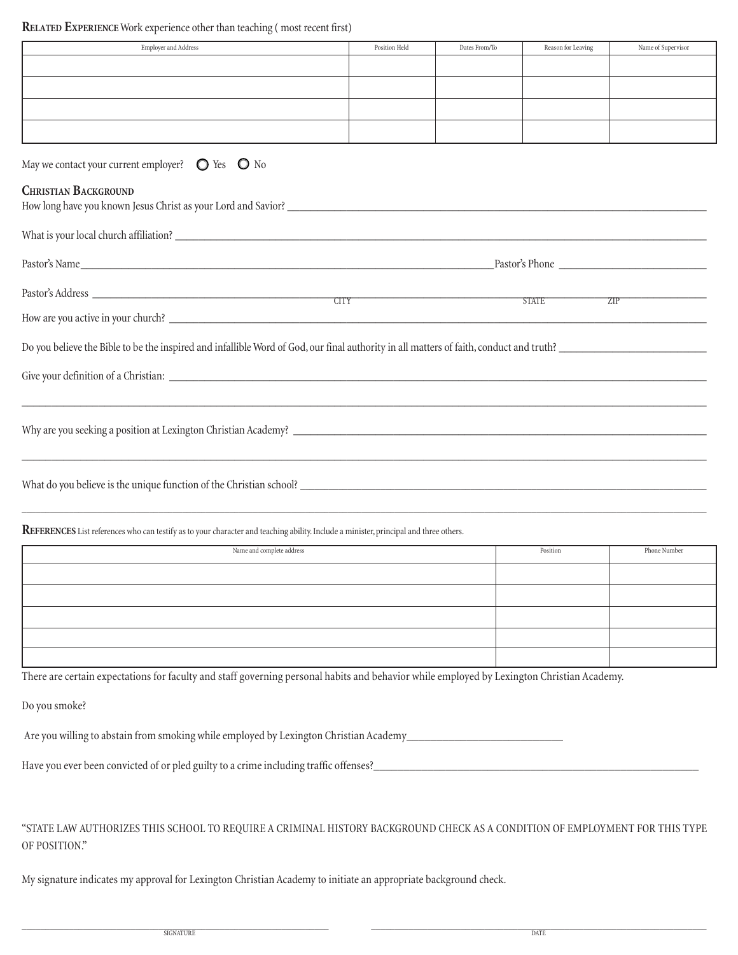### **RELATED EXPERIENCE** Work experience other than teaching (most recent first)

| Employer and Address                                                                                                                       | Position Held | Dates From/To | Reason for Leaving | Name of Supervisor |
|--------------------------------------------------------------------------------------------------------------------------------------------|---------------|---------------|--------------------|--------------------|
|                                                                                                                                            |               |               |                    |                    |
|                                                                                                                                            |               |               |                    |                    |
|                                                                                                                                            |               |               |                    |                    |
|                                                                                                                                            |               |               |                    |                    |
| May we contact your current employer? $\bigcirc$ Yes $\bigcirc$ No                                                                         |               |               |                    |                    |
| <b>CHRISTIAN BACKGROUND</b>                                                                                                                |               |               |                    |                    |
|                                                                                                                                            |               |               |                    |                    |
| Pastor's Name                                                                                                                              |               |               |                    |                    |
| Pastor's Address                                                                                                                           |               |               | STATE              | ZIP                |
| <b>CITY</b><br>How are you active in your church?                                                                                          |               |               |                    |                    |
| Do you believe the Bible to be the inspired and infallible Word of God, our final authority in all matters of faith, conduct and truth?    |               |               |                    |                    |
| Give your definition of a Christian:                                                                                                       |               |               |                    |                    |
|                                                                                                                                            |               |               |                    |                    |
| What do you believe is the unique function of the Christian school?                                                                        |               |               |                    |                    |
| REFERENCES List references who can testify as to your character and teaching ability. Include a minister, principal and three others.      |               |               |                    |                    |
| Name and complete address                                                                                                                  |               |               | Position           | Phone Number       |
|                                                                                                                                            |               |               |                    |                    |
|                                                                                                                                            |               |               |                    |                    |
|                                                                                                                                            |               |               |                    |                    |
|                                                                                                                                            |               |               |                    |                    |
|                                                                                                                                            |               |               |                    |                    |
| There are certain expectations for faculty and staff governing personal habits and behavior while employed by Lexington Christian Academy. |               |               |                    |                    |
| Do you smoke?                                                                                                                              |               |               |                    |                    |
| Are you willing to abstain from smoking while employed by Lexington Christian Academy_                                                     |               |               |                    |                    |

Have\_you\_ever\_been\_convicted\_of\_or\_pled\_guilty\_to\_a\_crime\_including\_traffic\_offenses?\_\_\_\_\_\_\_\_\_\_\_\_\_\_\_\_\_\_\_\_\_\_\_\_\_\_\_\_\_\_\_\_\_\_\_\_\_\_\_\_\_\_\_\_\_\_\_\_\_\_\_\_\_\_

"State Law authorizes this school to require a criminal history background check as a condition of employment for this type of position."

My signature indicates my approval for Lexington Christian Academy to initiate an appropriate background check.